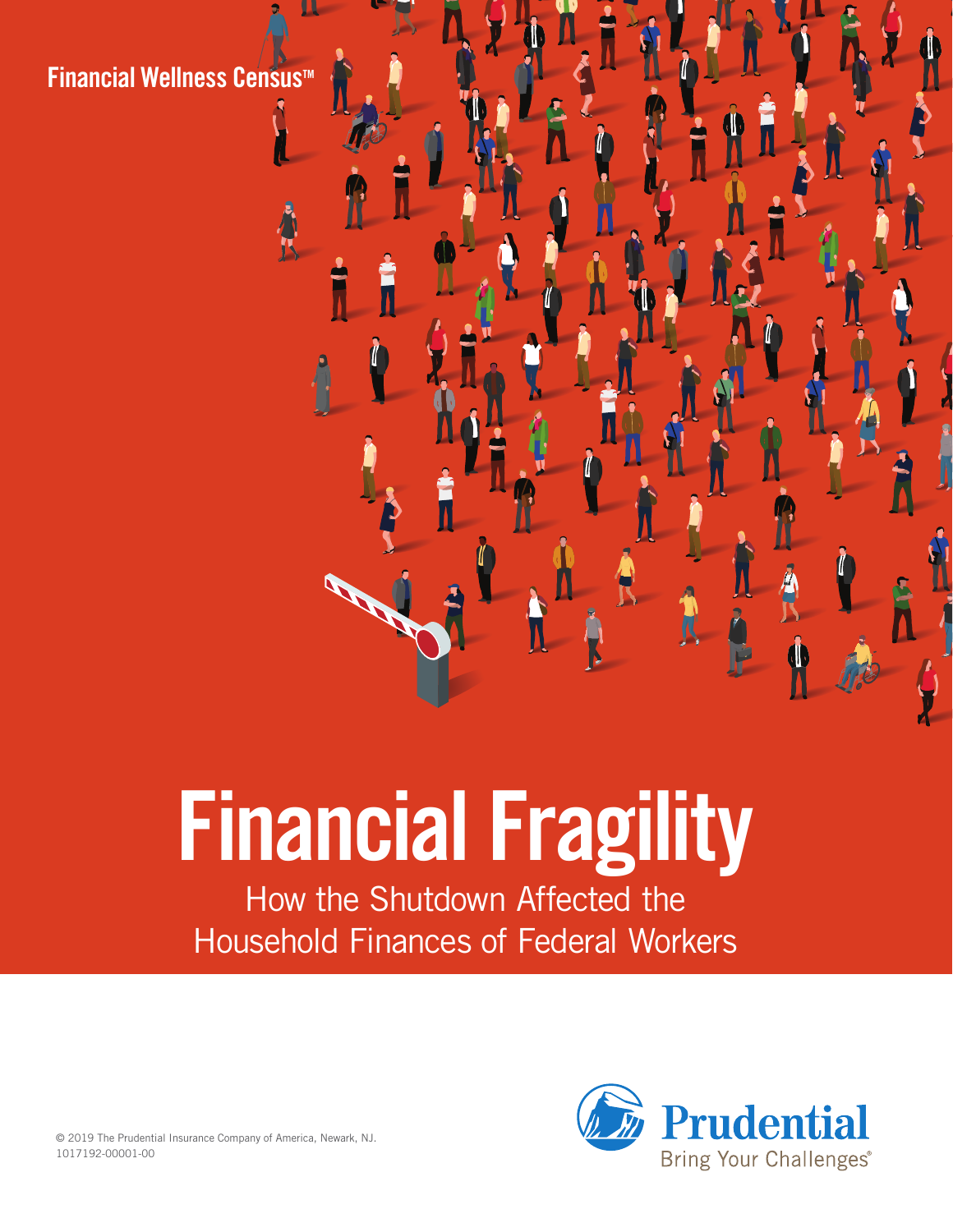**Financial Wellness Censustm**

# **Financial Fragility**

How the Shutdown Affected the Household Finances of Federal Workers



© 2019 The Prudential Insurance Company of America, Newark, NJ. 1017192-00001-00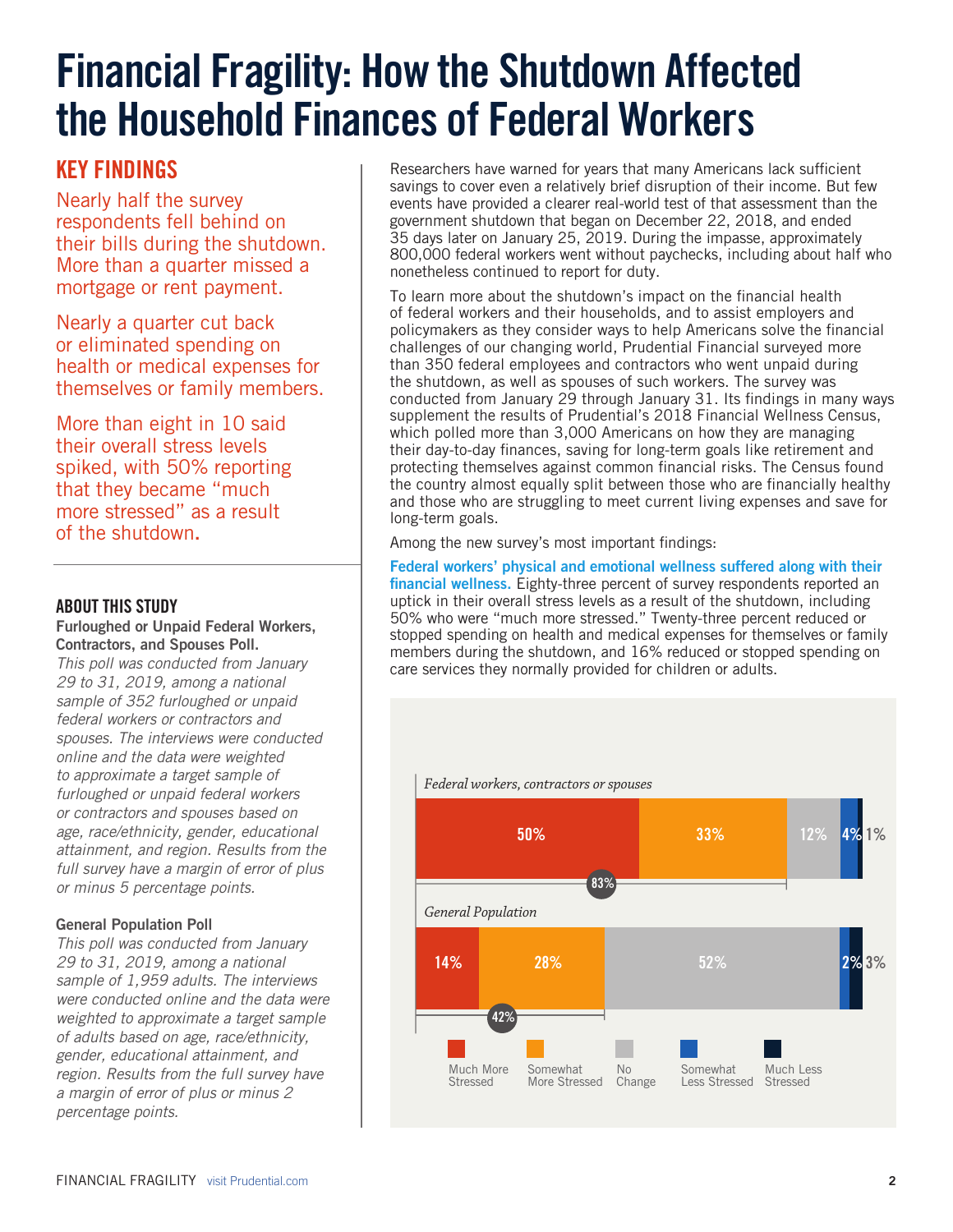# **Financial Fragility: How the Shutdown Affected the Household Finances of Federal Workers**

# **KEY FINDINGS**

Nearly half the survey respondents fell behind on their bills during the shutdown. More than a quarter missed a mortgage or rent payment.

Nearly a quarter cut back or eliminated spending on health or medical expenses for themselves or family members.

More than eight in 10 said their overall stress levels spiked, with 50% reporting that they became "much more stressed" as a result of the shutdown**.** 

#### **ABOUT THIS STUDY**

#### **Furloughed or Unpaid Federal Workers, Contractors, and Spouses Poll.**

*This poll was conducted from January 29 to 31, 2019, among a national sample of 352 furloughed or unpaid federal workers or contractors and spouses. The interviews were conducted online and the data were weighted to approximate a target sample of furloughed or unpaid federal workers or contractors and spouses based on age, race/ethnicity, gender, educational attainment, and region. Results from the full survey have a margin of error of plus or minus 5 percentage points.*

#### **General Population Poll**

*This poll was conducted from January 29 to 31, 2019, among a national sample of 1,959 adults. The interviews were conducted online and the data were weighted to approximate a target sample of adults based on age, race/ethnicity, gender, educational attainment, and region. Results from the full survey have a margin of error of plus or minus 2 percentage points.*

Researchers have warned for years that many Americans lack sufficient savings to cover even a relatively brief disruption of their income. But few events have provided a clearer real-world test of that assessment than the government shutdown that began on December 22, 2018, and ended 35 days later on January 25, 2019. During the impasse, approximately 800,000 federal workers went without paychecks, including about half who nonetheless continued to report for duty.

To learn more about the shutdown's impact on the financial health of federal workers and their households, and to assist employers and policymakers as they consider ways to help Americans solve the financial challenges of our changing world, Prudential Financial surveyed more than 350 federal employees and contractors who went unpaid during the shutdown, as well as spouses of such workers. The survey was conducted from January 29 through January 31. Its findings in many ways supplement the results of Prudential's 2018 Financial Wellness Census, which polled more than 3,000 Americans on how they are managing their day-to-day finances, saving for long-term goals like retirement and protecting themselves against common financial risks. The Census found the country almost equally split between those who are financially healthy and those who are struggling to meet current living expenses and save for long-term goals.

Among the new survey's most important findings:

**Federal workers' physical and emotional wellness suffered along with their financial wellness.** Eighty-three percent of survey respondents reported an uptick in their overall stress levels as a result of the shutdown, including 50% who were "much more stressed." Twenty-three percent reduced or stopped spending on health and medical expenses for themselves or family members during the shutdown, and 16% reduced or stopped spending on care services they normally provided for children or adults.

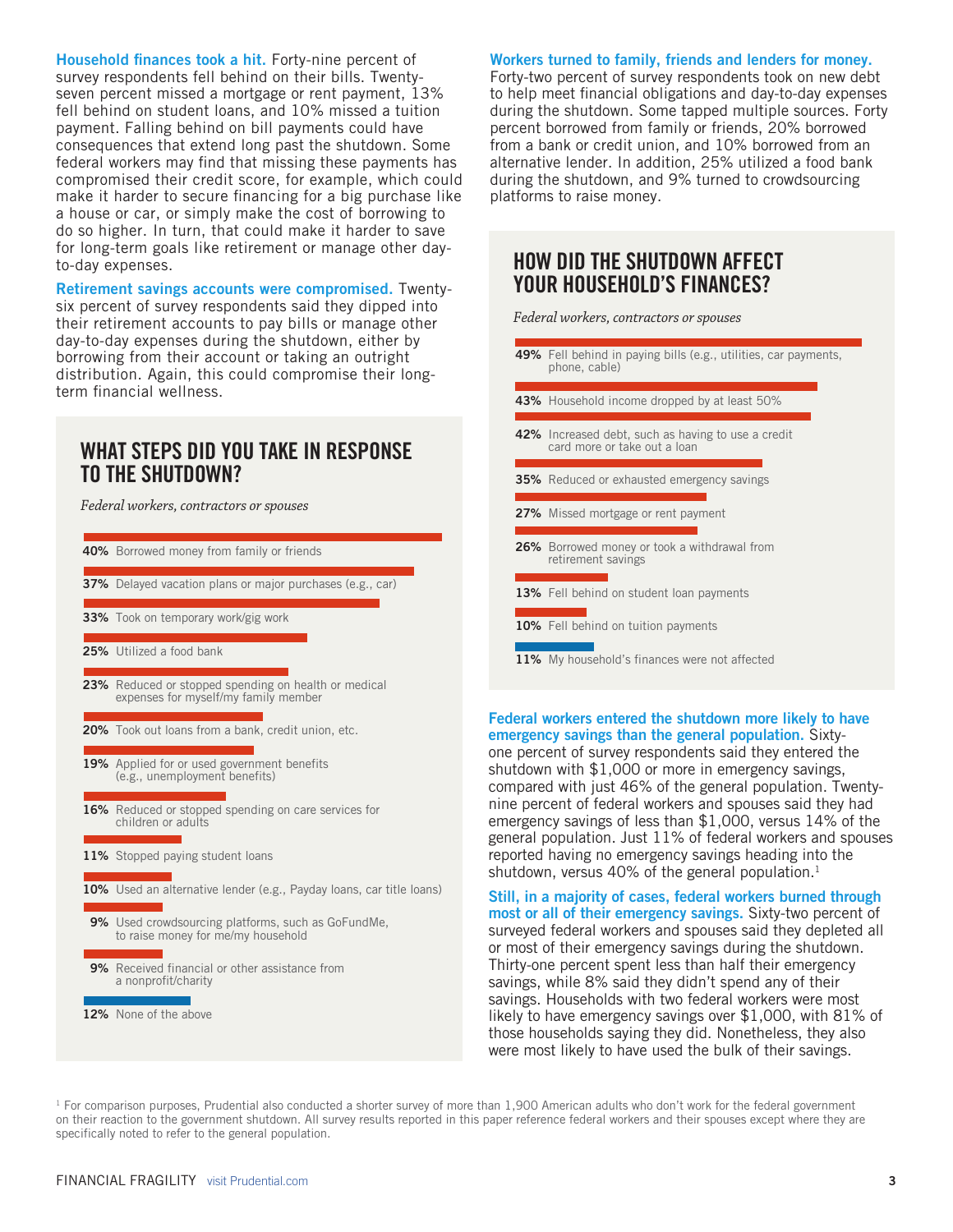**Household finances took a hit.** Forty-nine percent of survey respondents fell behind on their bills. Twentyseven percent missed a mortgage or rent payment, 13% fell behind on student loans, and 10% missed a tuition payment. Falling behind on bill payments could have consequences that extend long past the shutdown. Some federal workers may find that missing these payments has compromised their credit score, for example, which could make it harder to secure financing for a big purchase like a house or car, or simply make the cost of borrowing to do so higher. In turn, that could make it harder to save for long-term goals like retirement or manage other dayto-day expenses.

**Retirement savings accounts were compromised.** Twentysix percent of survey respondents said they dipped into their retirement accounts to pay bills or manage other day-to-day expenses during the shutdown, either by borrowing from their account or taking an outright distribution. Again, this could compromise their longterm financial wellness.

## **WHAT STEPS DID YOU TAKE IN RESPONSE TO THE SHUTDOWN?**

*Federal workers, contractors or spouses*



#### **Workers turned to family, friends and lenders for money.**

Forty-two percent of survey respondents took on new debt to help meet financial obligations and day-to-day expenses during the shutdown. Some tapped multiple sources. Forty percent borrowed from family or friends, 20% borrowed from a bank or credit union, and 10% borrowed from an alternative lender. In addition, 25% utilized a food bank during the shutdown, and 9% turned to crowdsourcing platforms to raise money.

### **HOW DID THE SHUTDOWN AFFECT YOUR HOUSEHOLD'S FINANCES?**

*Federal workers, contractors or spouses*



#### **Federal workers entered the shutdown more likely to have emergency savings than the general population.** Sixty-

one percent of survey respondents said they entered the shutdown with \$1,000 or more in emergency savings, compared with just 46% of the general population. Twentynine percent of federal workers and spouses said they had emergency savings of less than \$1,000, versus 14% of the general population. Just 11% of federal workers and spouses reported having no emergency savings heading into the shutdown, versus 40% of the general population. $1$ 

**Still, in a majority of cases, federal workers burned through most or all of their emergency savings.** Sixty-two percent of surveyed federal workers and spouses said they depleted all or most of their emergency savings during the shutdown. Thirty-one percent spent less than half their emergency savings, while 8% said they didn't spend any of their savings. Households with two federal workers were most likely to have emergency savings over \$1,000, with 81% of those households saying they did. Nonetheless, they also were most likely to have used the bulk of their savings.

 $1$  For comparison purposes, Prudential also conducted a shorter survey of more than  $1,900$  American adults who don't work for the federal government on their reaction to the government shutdown. All survey results reported in this paper reference federal workers and their spouses except where they are specifically noted to refer to the general population.